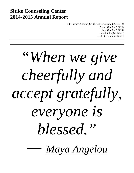# **Sitike Counseling Center 2014-2015 Annual Report**

306 Spruce Avenue, South San Francisco, CA 94080 Phone: (650) 589-9305 Fax: (650) 589-9330 Email: info@sitike.org Website: www.sitike.org

# *"When we give cheerfully and accept gratefully, everyone is blessed."*

*― [Maya Angelou](http://www.goodreads.com/author/show/3503.Maya_Angelou)*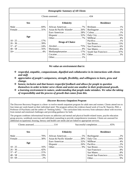| <b>Demographic Summary of All Clients</b> |                               |                        |  |
|-------------------------------------------|-------------------------------|------------------------|--|
|                                           |                               |                        |  |
| <b>Sex</b><br><b>Ethnicity</b>            |                               | <b>Residence</b>       |  |
|                                           |                               |                        |  |
|                                           | Asian & Pacific Islander  26% |                        |  |
|                                           |                               |                        |  |
|                                           |                               |                        |  |
| Age                                       |                               |                        |  |
|                                           |                               |                        |  |
|                                           | <b>Drugs of Choice</b>        |                        |  |
|                                           |                               |                        |  |
|                                           |                               |                        |  |
|                                           | Methamphetamine 17%           | South San Francisco37% |  |
|                                           |                               |                        |  |
|                                           |                               |                        |  |
|                                           |                               |                        |  |

*We value an environment that is:*

- *respectful, empathic, compassionate, dignified and collaborative in its interactions with clients and staff.*
- *appreciative of people's uniqueness, strength, flexibility, and willingness to learn, grow and change.*
- *honest, inclusive and that honors respectful feedback and allows for people to question themselves in order to better serve clients and assist one another in their professional growth.*
- *a learning environment in nature, understanding that people make mistakes. We value the taking of responsibility and the process of growth that comes from this.*

### *Discover Recovery Outpatient Program*

The Discover Recovery Program is a three- to twelve-month outpatient program for adult men and women. Clients attend two to four times per week based on their individual need. The program utilizes the evidence-based work of Lisa M. Najavits, PhD, a Professor of Psychiatry and the author of "Seeking Safety." The curriculum links recovery from substance abuse with recovery from mental and emotional challenges and providing guidance for both.

The program combines informational lectures on addiction and mental and physical health-related issues, psycho education group process, workbook exercises and individual counseling to provide comprehensive treatment. Clients are assessed for additional occupational, housing, literacy and health care needs and are linked to appropriate services.

| <b>Ethnicity</b>              | <b>Residence</b>       |
|-------------------------------|------------------------|
| Asian & Pacific Islander  28% | South San Francisco32% |
|                               |                        |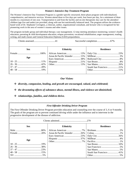## *Women's Intensive Day Treatment Program*

The Women's Intensive Day Treatment Program is a gender-specific structured, three-phase program with individualized, comprehensive, and intensive services. Women attend three to five days per week, four hours per day, for a minimum of three months to a maximum of one year. Transportation to and from the facility and on-site therapeutic day care for the attendees' children (age five and under) are provided, along with one hot nutritionally balanced meal. The program utilizes the evidencebased work of Dr. Stephanie Covington, a clinician, author, organizational consultant, and lecturer who is recognized for her pioneering work in the area of women's trauma and other issues.

The program includes group and individual therapy; case management; 12-step meeting attendance monitoring; women's health education; parenting & child development education; relapse prevention; vocational rehabilitation; anger management; reading, writing, and math classes and General Education Diploma (GED) preparedness.

Clients assessed...................................41 Successful completion.....................67%

| <b>Sex</b> | <b>Ethnicity</b> | <b>Residence</b>       |
|------------|------------------|------------------------|
|            |                  |                        |
| Age        |                  |                        |
|            |                  |                        |
|            |                  |                        |
|            |                  |                        |
|            |                  | South San Francisco21% |
|            |                  |                        |
|            |                  |                        |

# *Our Vision:*

*diversity, compassion, healing, and growth are encouraged, valued, and celebrated;*

- *the devastating effects of substance abuse, mental illness, and violence are diminished;*
- *relationships, families, and children thrive.*

# *First Offender Drinking Driver Program*

The First Offender Drinking Driver Program provides education and counseling over the course of 3, 6 or 9 months. The goals of the program are to prevent continued driving while under the influence and to intervene in the progressive development of the disease of addiction.

| <b>Sex</b> | <b>Ethnicity</b> | <b>Residence</b>       |  |
|------------|------------------|------------------------|--|
|            |                  |                        |  |
|            |                  |                        |  |
|            |                  |                        |  |
|            |                  |                        |  |
| Age        |                  |                        |  |
|            |                  |                        |  |
|            |                  |                        |  |
|            |                  |                        |  |
|            |                  | South San Francisco41% |  |
|            |                  |                        |  |